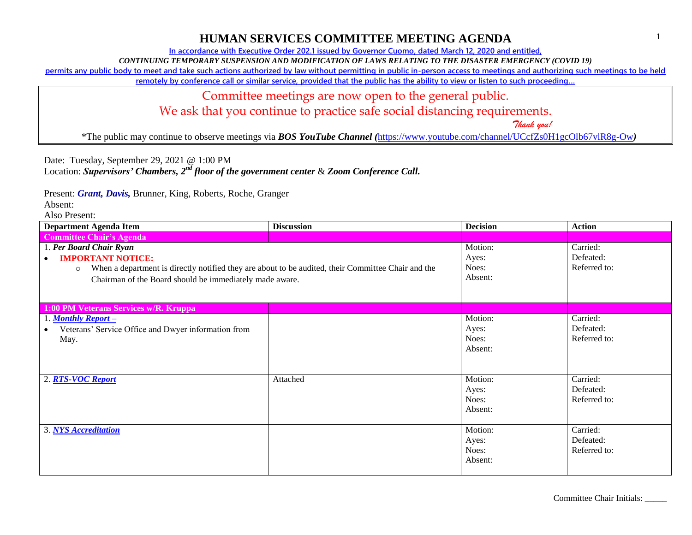**In accordance with Executive Order 202.1 issued by Governor Cuomo, dated March 12, 2020 and entitled,**

*CONTINUING TEMPORARY SUSPENSION AND MODIFICATION OF LAWS RELATING TO THE DISASTER EMERGENCY (COVID 19)*

**permits any public body to meet and take such actions authorized by law without permitting in public in-person access to meetings and authorizing such meetings to be held** 

**remotely by conference call or similar service, provided that the public has the ability to view or listen to such proceeding…**

#### Committee meetings are now open to the general public.

We ask that you continue to practice safe social distancing requirements.

 *Thank you!*

\*The public may continue to observe meetings via *BOS YouTube Channel (*<https://www.youtube.com/channel/UCcfZs0H1gcOlb67vlR8g-Ow>*)*

Date: Tuesday, September 29, 2021 @ 1:00 PM

Location: *Supervisors' Chambers, 2nd floor of the government center* & *Zoom Conference Call.*

Present: *Grant, Davis,* Brunner, King, Roberts, Roche, Granger

Absent:

| <b>Department Agenda Item</b>                                                                                                                                                                                                                | <b>Discussion</b> | <b>Decision</b>                      | <b>Action</b>                         |
|----------------------------------------------------------------------------------------------------------------------------------------------------------------------------------------------------------------------------------------------|-------------------|--------------------------------------|---------------------------------------|
| <b>Committee Chair's Agenda</b>                                                                                                                                                                                                              |                   |                                      |                                       |
| 1. Per Board Chair Ryan<br><b>IMPORTANT NOTICE:</b><br>$\bullet$<br>When a department is directly notified they are about to be audited, their Committee Chair and the<br>$\circ$<br>Chairman of the Board should be immediately made aware. |                   | Motion:<br>Ayes:<br>Noes:<br>Absent: | Carried:<br>Defeated:<br>Referred to: |
| 1:00 PM Veterans Services w/R. Kruppa                                                                                                                                                                                                        |                   |                                      |                                       |
| 1. Monthly Report $-$<br>Veterans' Service Office and Dwyer information from<br>May.                                                                                                                                                         |                   | Motion:<br>Ayes:<br>Noes:<br>Absent: | Carried:<br>Defeated:<br>Referred to: |
| 2. RTS-VOC Report                                                                                                                                                                                                                            | Attached          | Motion:<br>Ayes:<br>Noes:<br>Absent: | Carried:<br>Defeated:<br>Referred to: |
| 3. NYS Accreditation                                                                                                                                                                                                                         |                   | Motion:<br>Ayes:<br>Noes:<br>Absent: | Carried:<br>Defeated:<br>Referred to: |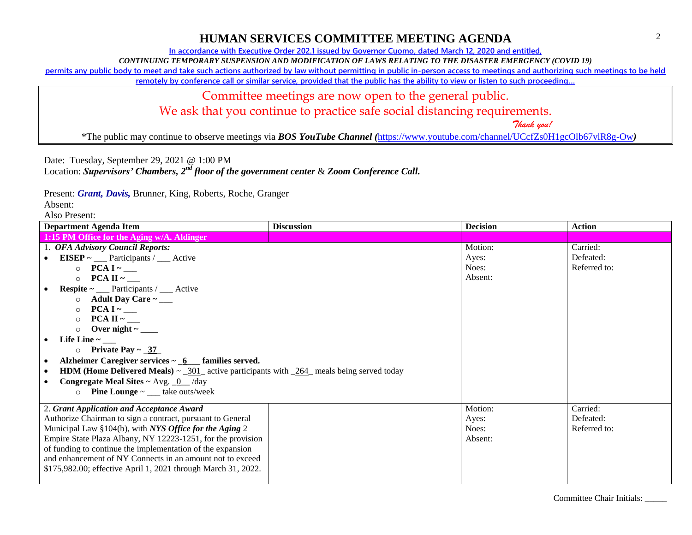**In accordance with Executive Order 202.1 issued by Governor Cuomo, dated March 12, 2020 and entitled,**

*CONTINUING TEMPORARY SUSPENSION AND MODIFICATION OF LAWS RELATING TO THE DISASTER EMERGENCY (COVID 19)*

**permits any public body to meet and take such actions authorized by law without permitting in public in-person access to meetings and authorizing such meetings to be held** 

**remotely by conference call or similar service, provided that the public has the ability to view or listen to such proceeding…**

Committee meetings are now open to the general public.

We ask that you continue to practice safe social distancing requirements.

 *Thank you!*

\*The public may continue to observe meetings via *BOS YouTube Channel (*<https://www.youtube.com/channel/UCcfZs0H1gcOlb67vlR8g-Ow>*)*

Date: Tuesday, September 29, 2021 @ 1:00 PM

Location: *Supervisors' Chambers, 2nd floor of the government center* & *Zoom Conference Call.*

Present: *Grant, Davis,* Brunner, King, Roberts, Roche, Granger

Absent:

| <b>Department Agenda Item</b>                                                                          | <b>Discussion</b> | <b>Decision</b> | <b>Action</b> |
|--------------------------------------------------------------------------------------------------------|-------------------|-----------------|---------------|
| 1:15 PM Office for the Aging w/A. Aldinger                                                             |                   |                 |               |
| 1. OFA Advisory Council Reports:                                                                       |                   | Motion:         | Carried:      |
| EISEP $\sim$ ____ Participants / ____ Active<br>$\bullet$                                              |                   | Ayes:           | Defeated:     |
| $\circ$ PCA I ~ ___                                                                                    |                   | Noes:           | Referred to:  |
| $PCA II ~_\_$<br>$\circ$                                                                               |                   | Absent:         |               |
| <b>Respite</b> $\sim$ <u>Participants / _</u> Active                                                   |                   |                 |               |
| Adult Day Care $\sim$ ____<br>$\circ$                                                                  |                   |                 |               |
| $\circ$                                                                                                |                   |                 |               |
| $\circ$                                                                                                |                   |                 |               |
| $\circ$                                                                                                |                   |                 |               |
| Life Line $\sim$ _______                                                                               |                   |                 |               |
| $\circ$ Private Pay ~ _37_                                                                             |                   |                 |               |
| Alzheimer Caregiver services $\sim 6$ families served.<br>$\bullet$                                    |                   |                 |               |
| <b>HDM</b> (Home Delivered Meals) $\sim$ _301_ active participants with _264_ meals being served today |                   |                 |               |
| <b>Congregate Meal Sites ~ Avg. <math>\underline{0}</math> /day</b>                                    |                   |                 |               |
| <b>Pine Lounge</b> $\sim$ ____ take outs/week<br>$\Omega$                                              |                   |                 |               |
| 2. Grant Application and Acceptance Award                                                              |                   | Motion:         | Carried:      |
| Authorize Chairman to sign a contract, pursuant to General                                             |                   | Ayes:           | Defeated:     |
| Municipal Law §104(b), with NYS Office for the Aging 2                                                 |                   | Noes:           | Referred to:  |
| Empire State Plaza Albany, NY 12223-1251, for the provision                                            |                   | Absent:         |               |
| of funding to continue the implementation of the expansion                                             |                   |                 |               |
| and enhancement of NY Connects in an amount not to exceed                                              |                   |                 |               |
| \$175,982.00; effective April 1, 2021 through March 31, 2022.                                          |                   |                 |               |
|                                                                                                        |                   |                 |               |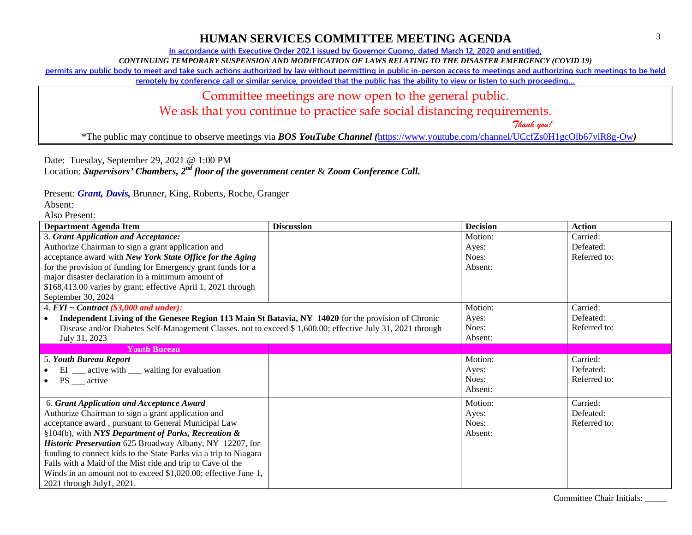**In accordance with Executive Order 202.1 issued by Governor Cuomo, dated March 12, 2020 and entitled,**

*CONTINUING TEMPORARY SUSPENSION AND MODIFICATION OF LAWS RELATING TO THE DISASTER EMERGENCY (COVID 19)*

**permits any public body to meet and take such actions authorized by law without permitting in public in-person access to meetings and authorizing such meetings to be held** 

**remotely by conference call or similar service, provided that the public has the ability to view or listen to such proceeding…**

## Committee meetings are now open to the general public.

We ask that you continue to practice safe social distancing requirements.

 *Thank you!*

\*The public may continue to observe meetings via *BOS YouTube Channel (*<https://www.youtube.com/channel/UCcfZs0H1gcOlb67vlR8g-Ow>*)*

Date: Tuesday, September 29, 2021 @ 1:00 PM

Location: *Supervisors' Chambers, 2nd floor of the government center* & *Zoom Conference Call.*

Present: *Grant, Davis,* Brunner, King, Roberts, Roche, Granger

Absent:

| <b>Department Agenda Item</b>                                                                              | <b>Discussion</b> | <b>Decision</b> | <b>Action</b> |
|------------------------------------------------------------------------------------------------------------|-------------------|-----------------|---------------|
| 3. Grant Application and Acceptance:                                                                       |                   | Motion:         | Carried:      |
| Authorize Chairman to sign a grant application and                                                         |                   | Ayes:           | Defeated:     |
| acceptance award with New York State Office for the Aging                                                  |                   | Noes:           | Referred to:  |
| for the provision of funding for Emergency grant funds for a                                               |                   | Absent:         |               |
| major disaster declaration in a minimum amount of                                                          |                   |                 |               |
| \$168,413.00 varies by grant; effective April 1, 2021 through                                              |                   |                 |               |
| September 30, 2024                                                                                         |                   |                 |               |
| 4. $FYI \sim Contract$ (\$3,000 and under):                                                                |                   | Motion:         | Carried:      |
| Independent Living of the Genesee Region 113 Main St Batavia, NY 14020 for the provision of Chronic        |                   | Ayes:           | Defeated:     |
| Disease and/or Diabetes Self-Management Classes. not to exceed \$1,600.00; effective July 31, 2021 through |                   | Noes:           | Referred to:  |
| July 31, 2023                                                                                              |                   | Absent:         |               |
| <b>Youth Bureau</b>                                                                                        |                   |                 |               |
| 5. Youth Bureau Report                                                                                     |                   | Motion:         | Carried:      |
| EI __ active with __ waiting for evaluation                                                                |                   | Ayes:           | Defeated:     |
| $PS$ <sub>___</sub> active                                                                                 |                   | Noes:           | Referred to:  |
|                                                                                                            |                   | Absent:         |               |
| 6. Grant Application and Acceptance Award                                                                  |                   | Motion:         | Carried:      |
| Authorize Chairman to sign a grant application and                                                         |                   | Ayes:           | Defeated:     |
| acceptance award, pursuant to General Municipal Law                                                        |                   | Noes:           | Referred to:  |
| §104(b), with NYS Department of Parks, Recreation &                                                        |                   | Absent:         |               |
| Historic Preservation 625 Broadway Albany, NY 12207, for                                                   |                   |                 |               |
| funding to connect kids to the State Parks via a trip to Niagara                                           |                   |                 |               |
| Falls with a Maid of the Mist ride and trip to Cave of the                                                 |                   |                 |               |
| Winds in an amount not to exceed \$1,020.00; effective June 1,                                             |                   |                 |               |
| 2021 through July1, 2021.                                                                                  |                   |                 |               |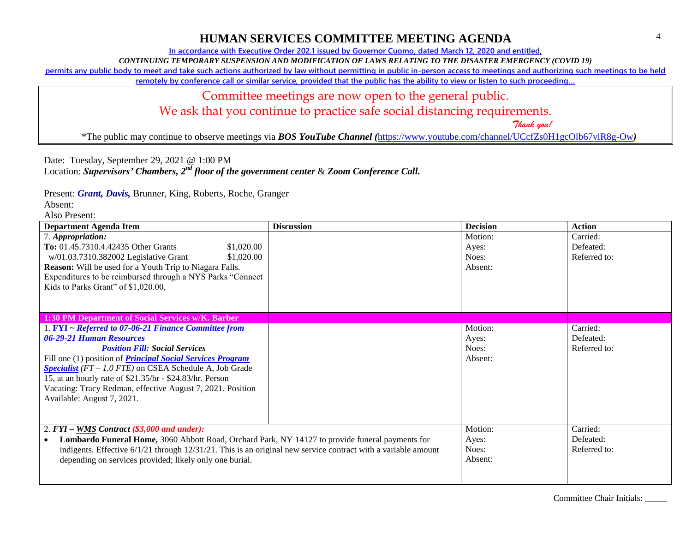**In accordance with Executive Order 202.1 issued by Governor Cuomo, dated March 12, 2020 and entitled,**

*CONTINUING TEMPORARY SUSPENSION AND MODIFICATION OF LAWS RELATING TO THE DISASTER EMERGENCY (COVID 19)*

**permits any public body to meet and take such actions authorized by law without permitting in public in-person access to meetings and authorizing such meetings to be held** 

**remotely by conference call or similar service, provided that the public has the ability to view or listen to such proceeding…**

## Committee meetings are now open to the general public.

We ask that you continue to practice safe social distancing requirements.

 *Thank you!*

\*The public may continue to observe meetings via *BOS YouTube Channel (*<https://www.youtube.com/channel/UCcfZs0H1gcOlb67vlR8g-Ow>*)*

Date: Tuesday, September 29, 2021 @ 1:00 PM

Location: *Supervisors' Chambers, 2nd floor of the government center* & *Zoom Conference Call.*

Present: *Grant, Davis,* Brunner, King, Roberts, Roche, Granger

Absent:

| <b>Department Agenda Item</b>                                                                                                                                                                                                                                                                                                                                                                                               | <b>Discussion</b> | <b>Decision</b>                      | <b>Action</b>                         |
|-----------------------------------------------------------------------------------------------------------------------------------------------------------------------------------------------------------------------------------------------------------------------------------------------------------------------------------------------------------------------------------------------------------------------------|-------------------|--------------------------------------|---------------------------------------|
| 7. Appropriation:<br>To: 01.45.7310.4.42435 Other Grants<br>\$1,020.00<br>w/01.03.7310.382002 Legislative Grant<br>\$1,020.00<br><b>Reason:</b> Will be used for a Youth Trip to Niagara Falls.<br>Expenditures to be reimbursed through a NYS Parks "Connect<br>Kids to Parks Grant" of \$1,020.00,                                                                                                                        |                   | Motion:<br>Ayes:<br>Noes:<br>Absent: | Carried:<br>Defeated:<br>Referred to: |
| 1:30 PM Department of Social Services w/K. Barber                                                                                                                                                                                                                                                                                                                                                                           |                   |                                      |                                       |
| 1. FYI ~ Referred to 07-06-21 Finance Committee from<br>06-29-21 Human Resources<br><b>Position Fill: Social Services</b><br>Fill one (1) position of <i>Principal Social Services Program</i><br><b>Specialist</b> ( $FT - 1.0$ FTE) on CSEA Schedule A, Job Grade<br>15, at an hourly rate of \$21.35/hr - \$24.83/hr. Person<br>Vacating: Tracy Redman, effective August 7, 2021. Position<br>Available: August 7, 2021. |                   | Motion:<br>Ayes:<br>Noes:<br>Absent: | Carried:<br>Defeated:<br>Referred to: |
| 2. $FYI - \underline{WMS}$ Contract (\$3,000 and under):<br>Lombardo Funeral Home, 3060 Abbott Road, Orchard Park, NY 14127 to provide funeral payments for<br>indigents. Effective $6/1/21$ through $12/31/21$ . This is an original new service contract with a variable amount<br>depending on services provided; likely only one burial.                                                                                |                   | Motion:<br>Ayes:<br>Noes:<br>Absent: | Carried:<br>Defeated:<br>Referred to: |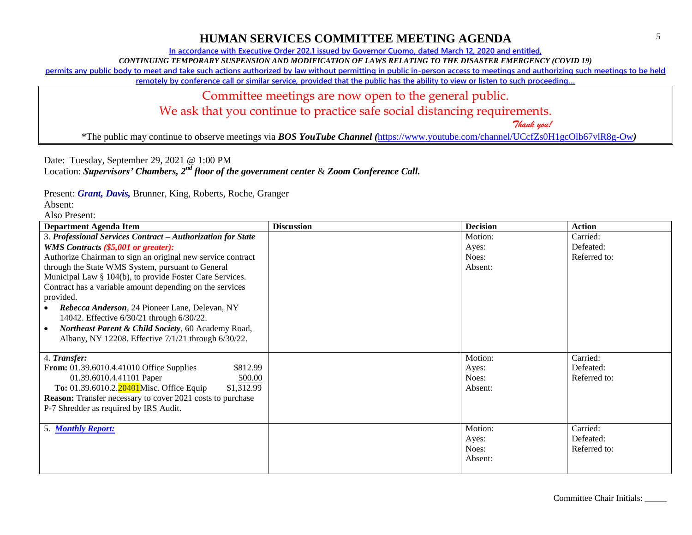**In accordance with Executive Order 202.1 issued by Governor Cuomo, dated March 12, 2020 and entitled,**

*CONTINUING TEMPORARY SUSPENSION AND MODIFICATION OF LAWS RELATING TO THE DISASTER EMERGENCY (COVID 19)*

**permits any public body to meet and take such actions authorized by law without permitting in public in-person access to meetings and authorizing such meetings to be held** 

**remotely by conference call or similar service, provided that the public has the ability to view or listen to such proceeding…**

# Committee meetings are now open to the general public.

We ask that you continue to practice safe social distancing requirements.

 *Thank you!*

\*The public may continue to observe meetings via *BOS YouTube Channel (*<https://www.youtube.com/channel/UCcfZs0H1gcOlb67vlR8g-Ow>*)*

Date: Tuesday, September 29, 2021 @ 1:00 PM

Location: *Supervisors' Chambers, 2nd floor of the government center* & *Zoom Conference Call.*

Present: *Grant, Davis,* Brunner, King, Roberts, Roche, Granger

Absent:

| <b>Department Agenda Item</b>                                                                             | <b>Discussion</b> | <b>Decision</b> | <b>Action</b> |
|-----------------------------------------------------------------------------------------------------------|-------------------|-----------------|---------------|
| 3. Professional Services Contract - Authorization for State                                               |                   | Motion:         | Carried:      |
| WMS Contracts (\$5,001 or greater):                                                                       |                   | Ayes:           | Defeated:     |
| Authorize Chairman to sign an original new service contract                                               |                   | Noes:           | Referred to:  |
| through the State WMS System, pursuant to General                                                         |                   | Absent:         |               |
| Municipal Law § 104(b), to provide Foster Care Services.                                                  |                   |                 |               |
| Contract has a variable amount depending on the services                                                  |                   |                 |               |
| provided.                                                                                                 |                   |                 |               |
| Rebecca Anderson, 24 Pioneer Lane, Delevan, NY<br>14042. Effective 6/30/21 through 6/30/22.               |                   |                 |               |
|                                                                                                           |                   |                 |               |
| Northeast Parent & Child Society, 60 Academy Road,<br>Albany, NY 12208. Effective 7/1/21 through 6/30/22. |                   |                 |               |
|                                                                                                           |                   |                 |               |
| 4. Transfer:                                                                                              |                   | Motion:         | Carried:      |
| \$812.99<br><b>From:</b> 01.39.6010.4.41010 Office Supplies                                               |                   | Ayes:           | Defeated:     |
| 01.39.6010.4.41101 Paper<br>500.00                                                                        |                   | Noes:           | Referred to:  |
| To: 01.39.6010.2.20401Misc. Office Equip<br>\$1,312.99                                                    |                   | Absent:         |               |
| <b>Reason:</b> Transfer necessary to cover 2021 costs to purchase                                         |                   |                 |               |
| P-7 Shredder as required by IRS Audit.                                                                    |                   |                 |               |
|                                                                                                           |                   |                 |               |
| 5. Monthly Report:                                                                                        |                   | Motion:         | Carried:      |
|                                                                                                           |                   | Ayes:           | Defeated:     |
|                                                                                                           |                   | Noes:           | Referred to:  |
|                                                                                                           |                   | Absent:         |               |
|                                                                                                           |                   |                 |               |